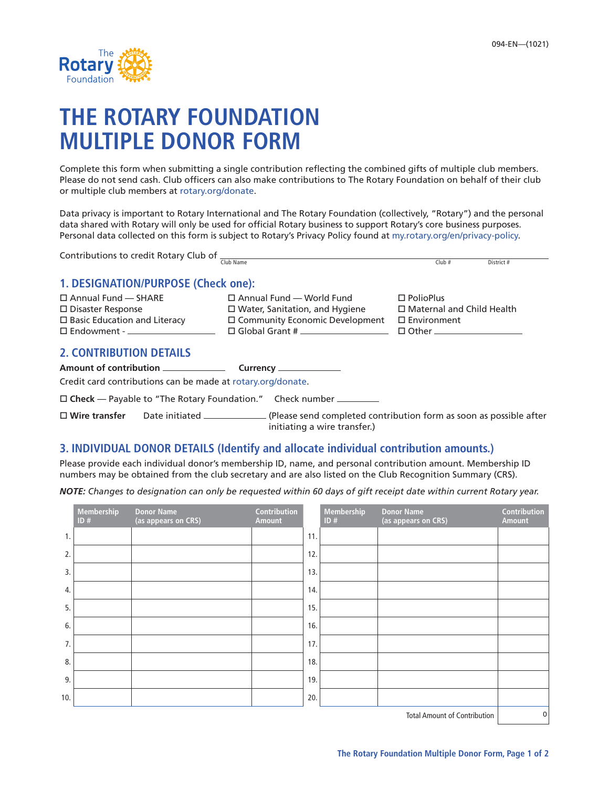

# **THE ROTARY FOUNDATION MULTIPLE DONOR FORM**

Complete this form when submitting a single contribution reflecting the combined gifts of multiple club members. Please do not send cash. Club officers can also make contributions to The Rotary Foundation on behalf of their club or multiple club members at rotary.org/donate.

Data privacy is important to Rotary International and The Rotary Foundation (collectively, "Rotary") and the personal data shared with Rotary will only be used for official Rotary business to support Rotary's core business purposes. Personal data collected on this form is subject to Rotary's Privacy Policy found at my.rotary.org/en/privacy-policy.

| Contributions to credit Rotary Club of $\frac{C_{\text{lib Name}}}{C_{\text{lib Name}}}$ |                                       |                                                                                                                      |  |  |  |  |  |  |
|------------------------------------------------------------------------------------------|---------------------------------------|----------------------------------------------------------------------------------------------------------------------|--|--|--|--|--|--|
|                                                                                          |                                       | $Club$ #<br>District #                                                                                               |  |  |  |  |  |  |
| 1. DESIGNATION/PURPOSE (Check one):                                                      |                                       |                                                                                                                      |  |  |  |  |  |  |
| $\Box$ Annual Fund $\Box$ SHARE                                                          | $\square$ Annual Fund — World Fund    | $\Box$ PolioPlus                                                                                                     |  |  |  |  |  |  |
| $\Box$ Disaster Response                                                                 | $\Box$ Water, Sanitation, and Hygiene | $\Box$ Maternal and Child Health                                                                                     |  |  |  |  |  |  |
| $\Box$ Basic Education and Literacy                                                      | $\Box$ Community Economic Development | $\Box$ Environment                                                                                                   |  |  |  |  |  |  |
|                                                                                          |                                       | $\Box$ Other ____________________                                                                                    |  |  |  |  |  |  |
| <b>2. CONTRIBUTION DETAILS</b>                                                           |                                       |                                                                                                                      |  |  |  |  |  |  |
|                                                                                          |                                       |                                                                                                                      |  |  |  |  |  |  |
| Credit card contributions can be made at rotary.org/donate.                              |                                       |                                                                                                                      |  |  |  |  |  |  |
| □ Check — Payable to "The Rotary Foundation." Check number                               |                                       |                                                                                                                      |  |  |  |  |  |  |
|                                                                                          | initiating a wire transfer.)          | $\Box$ Wire transfer Date initiated ______________(Please send completed contribution form as soon as possible after |  |  |  |  |  |  |

## **3. INDIVIDUAL DONOR DETAILS (Identify and allocate individual contribution amounts.)**

Please provide each individual donor's membership ID, name, and personal contribution amount. Membership ID numbers may be obtained from the club secretary and are also listed on the Club Recognition Summary (CRS).

*NOTE: Changes to designation can only be requested within 60 days of gift receipt date within current Rotary year.*

|     | Membership<br>ID# | <b>Donor Name</b><br>(as appears on CRS) | Contribution<br><b>Amount</b> |     | Membership<br>ID# | <b>Donor Name</b><br>(as appears on CRS) | Contribution<br><b>Amount</b> |
|-----|-------------------|------------------------------------------|-------------------------------|-----|-------------------|------------------------------------------|-------------------------------|
| 1.  |                   |                                          |                               | 11. |                   |                                          |                               |
| 2.  |                   |                                          |                               | 12. |                   |                                          |                               |
| 3.  |                   |                                          |                               | 13. |                   |                                          |                               |
| 4.  |                   |                                          |                               | 14. |                   |                                          |                               |
| 5.  |                   |                                          |                               | 15. |                   |                                          |                               |
| 6.  |                   |                                          |                               | 16. |                   |                                          |                               |
| 7.  |                   |                                          |                               | 17. |                   |                                          |                               |
| 8.  |                   |                                          |                               | 18. |                   |                                          |                               |
| 9.  |                   |                                          |                               | 19. |                   |                                          |                               |
| 10. |                   |                                          |                               | 20. |                   |                                          |                               |
|     |                   |                                          |                               |     |                   | <b>Total Amount of Contribution</b>      | 0                             |

Total Amount of Contribution